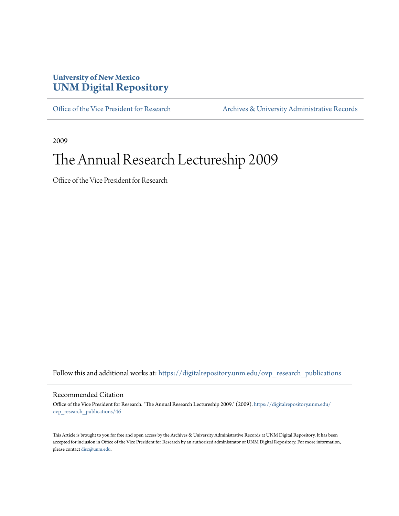## **University of New Mexico [UNM Digital Repository](https://digitalrepository.unm.edu?utm_source=digitalrepository.unm.edu%2Fovp_research_publications%2F46&utm_medium=PDF&utm_campaign=PDFCoverPages)**

[Office of the Vice President for Research](https://digitalrepository.unm.edu/ovp_research_publications?utm_source=digitalrepository.unm.edu%2Fovp_research_publications%2F46&utm_medium=PDF&utm_campaign=PDFCoverPages) [Archives & University Administrative Records](https://digitalrepository.unm.edu/archives?utm_source=digitalrepository.unm.edu%2Fovp_research_publications%2F46&utm_medium=PDF&utm_campaign=PDFCoverPages)

2009

## The Annual Research Lectureship 2009

Office of the Vice President for Research

Follow this and additional works at: [https://digitalrepository.unm.edu/ovp\\_research\\_publications](https://digitalrepository.unm.edu/ovp_research_publications?utm_source=digitalrepository.unm.edu%2Fovp_research_publications%2F46&utm_medium=PDF&utm_campaign=PDFCoverPages)

## Recommended Citation

Office of the Vice President for Research. "The Annual Research Lectureship 2009." (2009). [https://digitalrepository.unm.edu/](https://digitalrepository.unm.edu/ovp_research_publications/46?utm_source=digitalrepository.unm.edu%2Fovp_research_publications%2F46&utm_medium=PDF&utm_campaign=PDFCoverPages) [ovp\\_research\\_publications/46](https://digitalrepository.unm.edu/ovp_research_publications/46?utm_source=digitalrepository.unm.edu%2Fovp_research_publications%2F46&utm_medium=PDF&utm_campaign=PDFCoverPages)

This Article is brought to you for free and open access by the Archives & University Administrative Records at UNM Digital Repository. It has been accepted for inclusion in Office of the Vice President for Research by an authorized administrator of UNM Digital Repository. For more information, please contact [disc@unm.edu.](mailto:disc@unm.edu)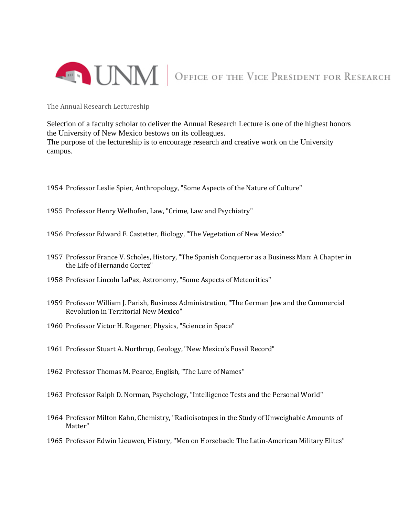

## **EXECUTE:** OFFICE OF THE VICE PRESIDENT FOR RESEARCH

The Annual Research Lectureship

Selection of a faculty scholar to deliver the Annual Research Lecture is one of the highest honors the University of New Mexico bestows on its colleagues. The purpose of the lectureship is to encourage research and creative work on the University campus.

- 1954 Professor Leslie Spier, Anthropology, "Some Aspects of the Nature of Culture"
- 1955 Professor Henry Welhofen, Law, "Crime, Law and Psychiatry"
- 1956 Professor Edward F. Castetter, Biology, "The Vegetation of New Mexico"
- 1957 Professor France V. Scholes, History, "The Spanish Conqueror as a Business Man: A Chapter in the Life of Hernando Cortez"
- 1958 Professor Lincoln LaPaz, Astronomy, "Some Aspects of Meteoritics"
- 1959 Professor William J. Parish, Business Administration, "The German Jew and the Commercial Revolution in Territorial New Mexico"
- 1960 Professor Victor H. Regener, Physics, "Science in Space"
- 1961 Professor Stuart A. Northrop, Geology, "New Mexico's Fossil Record"
- 1962 Professor Thomas M. Pearce, English, "The Lure of Names"
- 1963 Professor Ralph D. Norman, Psychology, "Intelligence Tests and the Personal World"
- 1964 Professor Milton Kahn, Chemistry, "Radioisotopes in the Study of Unweighable Amounts of Matter"
- 1965 Professor Edwin Lieuwen, History, "Men on Horseback: The Latin-American Military Elites"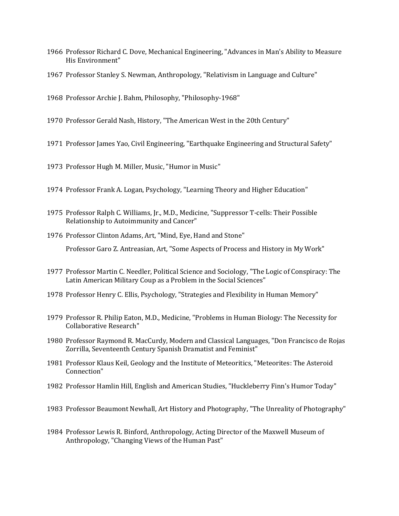- Professor Richard C. Dove, Mechanical Engineering, "Advances in Man's Ability to Measure His Environment"
- Professor Stanley S. Newman, Anthropology, "Relativism in Language and Culture"
- Professor Archie J. Bahm, Philosophy, "Philosophy-1968"
- Professor Gerald Nash, History, "The American West in the 20th Century"
- Professor James Yao, Civil Engineering, "Earthquake Engineering and Structural Safety"
- Professor Hugh M. Miller, Music, "Humor in Music"
- Professor Frank A. Logan, Psychology, "Learning Theory and Higher Education"
- Professor Ralph C. Williams, Jr., M.D., Medicine, "Suppressor T-cells: Their Possible Relationship to Autoimmunity and Cancer"
- Professor Clinton Adams, Art, "Mind, Eye, Hand and Stone" Professor Garo Z. Antreasian, Art, "Some Aspects of Process and History in My Work"
- Professor Martin C. Needler, Political Science and Sociology, "The Logic of Conspiracy: The Latin American Military Coup as a Problem in the Social Sciences"
- Professor Henry C. Ellis, Psychology, "Strategies and Flexibility in Human Memory"
- Professor R. Philip Eaton, M.D., Medicine, "Problems in Human Biology: The Necessity for Collaborative Research"
- Professor Raymond R. MacCurdy, Modern and Classical Languages, "Don Francisco de Rojas Zorrilla, Seventeenth Century Spanish Dramatist and Feminist"
- Professor Klaus Keil, Geology and the Institute of Meteoritics, "Meteorites: The Asteroid Connection"
- Professor Hamlin Hill, English and American Studies, "Huckleberry Finn's Humor Today"
- Professor Beaumont Newhall, Art History and Photography, "The Unreality of Photography"
- Professor Lewis R. Binford, Anthropology, Acting Director of the Maxwell Museum of Anthropology, "Changing Views of the Human Past"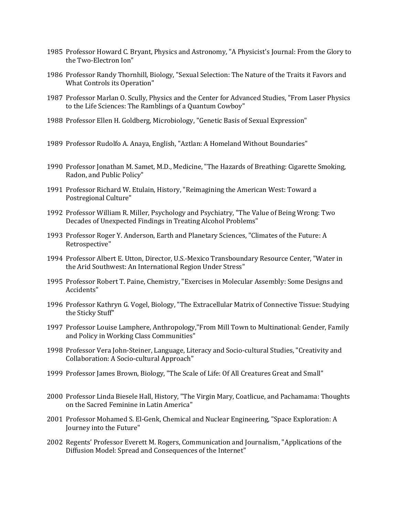- 1985 Professor Howard C. Bryant, Physics and Astronomy, "A Physicist's Journal: From the Glory to the Two-Electron Ion"
- 1986 Professor Randy Thornhill, Biology, "Sexual Selection: The Nature of the Traits it Favors and What Controls its Operation"
- 1987 Professor Marlan O. Scully, Physics and the Center for Advanced Studies, "From Laser Physics to the Life Sciences: The Ramblings of a Quantum Cowboy"
- 1988 Professor Ellen H. Goldberg, Microbiology, "Genetic Basis of Sexual Expression"
- 1989 Professor Rudolfo A. Anaya, English, "Aztlan: A Homeland Without Boundaries"
- 1990 Professor Jonathan M. Samet, M.D., Medicine, "The Hazards of Breathing: Cigarette Smoking, Radon, and Public Policy"
- 1991 Professor Richard W. Etulain, History, "Reimagining the American West: Toward a Postregional Culture"
- 1992 Professor William R. Miller, Psychology and Psychiatry, "The Value of Being Wrong: Two Decades of Unexpected Findings in Treating Alcohol Problems"
- 1993 Professor Roger Y. Anderson, Earth and Planetary Sciences, "Climates of the Future: A Retrospective"
- 1994 Professor Albert E. Utton, Director, U.S.-Mexico Transboundary Resource Center, "Water in the Arid Southwest: An International Region Under Stress"
- 1995 Professor Robert T. Paine, Chemistry, "Exercises in Molecular Assembly: Some Designs and Accidents"
- 1996 Professor Kathryn G. Vogel, Biology, "The Extracellular Matrix of Connective Tissue: Studying the Sticky Stuff"
- 1997 Professor Louise Lamphere, Anthropology,"From Mill Town to Multinational: Gender, Family and Policy in Working Class Communities"
- 1998 Professor Vera John-Steiner, Language, Literacy and Socio-cultural Studies, "Creativity and Collaboration: A Socio-cultural Approach"
- 1999 Professor James Brown, Biology, "The Scale of Life: Of All Creatures Great and Small"
- 2000 Professor Linda Biesele Hall, History, "The Virgin Mary, Coatlicue, and Pachamama: Thoughts on the Sacred Feminine in Latin America"
- 2001 Professor Mohamed S. El-Genk, Chemical and Nuclear Engineering, "Space Exploration: A Journey into the Future"
- 2002 Regents' Professor Everett M. Rogers, Communication and Journalism, "Applications of the Diffusion Model: Spread and Consequences of the Internet"